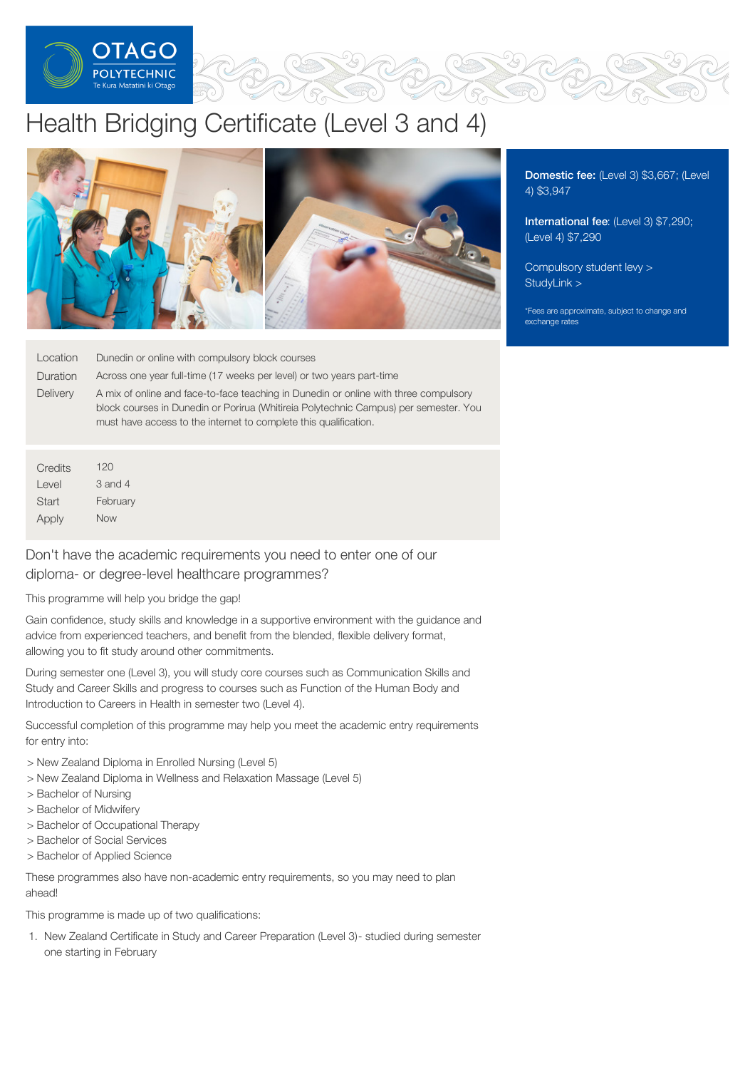

# Health Bridging Certificate (Level 3 and 4)



Location Dunedin or online with compulsory block courses

Duration Across one year full-time (17 weeks per level) or two years part-time

**Delivery** A mix of online and face-to-face teaching in Dunedin or online with three compulsory block courses in Dunedin or Porirua (Whitireia Polytechnic Campus) per semester. You must have access to the internet to complete this qualification.

**Credits** Level **Start** Apply 120 3 and 4 February Now

# Don't have the academic requirements you need to enter one of our diploma- or degree-level healthcare programmes?

This programme will help you bridge the gap!

Gain confidence, study skills and knowledge in a supportive environment with the guidance and advice from experienced teachers, and benefit from the blended, flexible delivery format, allowing you to fit study around other commitments.

During semester one (Level 3), you will study core courses such as Communication Skills and Study and Career Skills and progress to courses such as Function of the Human Body and Introduction to Careers in Health in semester two (Level 4).

Successful completion of this programme may help you meet the academic entry requirements for entry into:

- > New Zealand Diploma in Enrolled Nursing (Level 5)
- > New Zealand Diploma in Wellness and Relaxation Massage (Level 5)
- > Bachelor of Nursing
- > Bachelor of Midwifery
- > Bachelor of Occupational Therapy
- > Bachelor of Social Services
- > Bachelor of Applied Science

These programmes also have non-academic entry requirements, so you may need to plan ahead!

This programme is made up of two qualifications:

1. New Zealand Certificate in Study and Career Preparation (Level 3)- studied during semester one starting in February

Domestic fee: (Level 3) \$3,667; (Level 4) \$3,947

International fee: (Level 3) \$7,290; (Level 4) \$7,290

[Compulsory](https://online.op.ac.nz/students/important-information/student-services-levy/) student levy > [StudyLink](https://www.studylink.govt.nz/) >

\*Fees are approximate, subject to change and exchange rates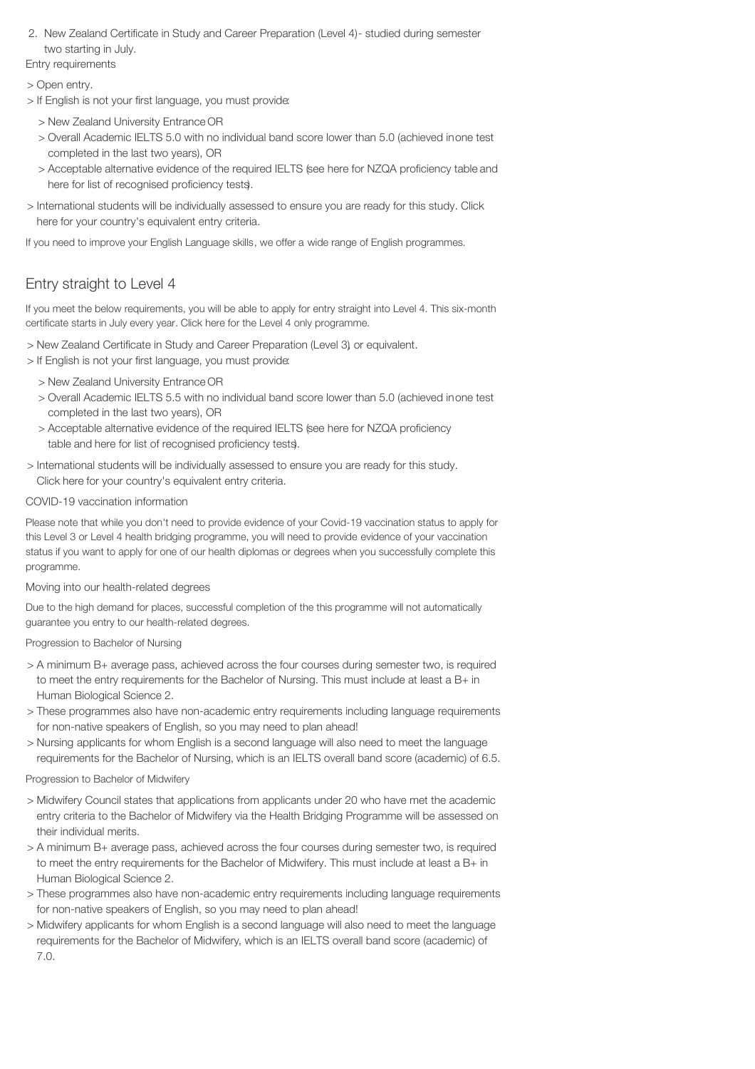2. New Zealand Certificate in Study and Career Preparation (Level 4)- studied during semester two starting in July.

Entry requirements

> Open entry.

- > If English is not your first language, you must provide:
	- > New Zealand University Entrance OR
	- > Overall Academic IELTS 5.0 with no individual band score lower than 5.0 (achieved inone test completed in the last two years), OR
	- > Acceptable alternative evidence of the required IELTS (see here for NZQA proficiency table and here for list of recognised proficiency tests).
- > International students will be individually assessed to ensure you are ready for this study. Click here for your country's equivalent entry criteria.

If you need to improve your English Language skills, we offer a wide range of English programmes.

# Entry straight to Level 4

If you meet the below requirements, you will be able to apply for entry straight into Level 4. This six-month certificate starts in July every year. Click here for the Level 4 only programme.

> New Zealand Certificate in Study and Career Preparation (Level 3), or equivalent.

- > If English is not your first language, you must provide:
	- > New Zealand University Entrance OR
	- > Overall Academic IELTS 5.5 with no individual band score lower than 5.0 (achieved inone test completed in the last two years), OR
	- > Acceptable alternative evidence of the required IELTS (see here for NZQA proficiency table and here for list of recognised proficiency tests).
- > International students will be individually assessed to ensure you are ready for this study. Click here for your country's equivalent entry criteria.

## COVID-19 vaccination information

Please note that while you don't need to provide evidence of your Covid-19 vaccination status to apply for this Level 3 or Level 4 health bridging programme, you will need to provide evidence of your vaccination status if you want to apply for one of our health diplomas or degrees when you successfully complete this programme.

#### Moving into our health-related degrees

Due to the high demand for places, successful completion of the this programme will not automatically guarantee you entry to our health-related degrees.

Progression to Bachelor of Nursing

- > A minimum B+ average pass, achieved across the four courses during semester two, is required to meet the entry requirements for the Bachelor of Nursing. This must include at least a B+ in Human Biological Science 2.
- > These programmes also have non-academic entry requirements including language requirements for non-native speakers of English, so you may need to plan ahead!
- > Nursing applicants for whom English is a second language will also need to meet the language requirements for the Bachelor of Nursing, which is an IELTS overall band score (academic) of 6.5.

Progression to Bachelor of Midwifery

- > Midwifery Council states that applications from applicants under 20 who have met the academic entry criteria to the Bachelor of Midwifery via the Health Bridging Programme will be assessed on their individual merits.
- > A minimum B+ average pass, achieved across the four courses during semester two, is required to meet the entry requirements for the Bachelor of Midwifery. This must include at least a B+ in Human Biological Science 2.
- > These programmes also have non-academic entry requirements including language requirements for non-native speakers of English, so you may need to plan ahead!
- > Midwifery applicants for whom English is a second language will also need to meet the language requirements for the Bachelor of Midwifery, which is an IELTS overall band score (academic) of 7.0.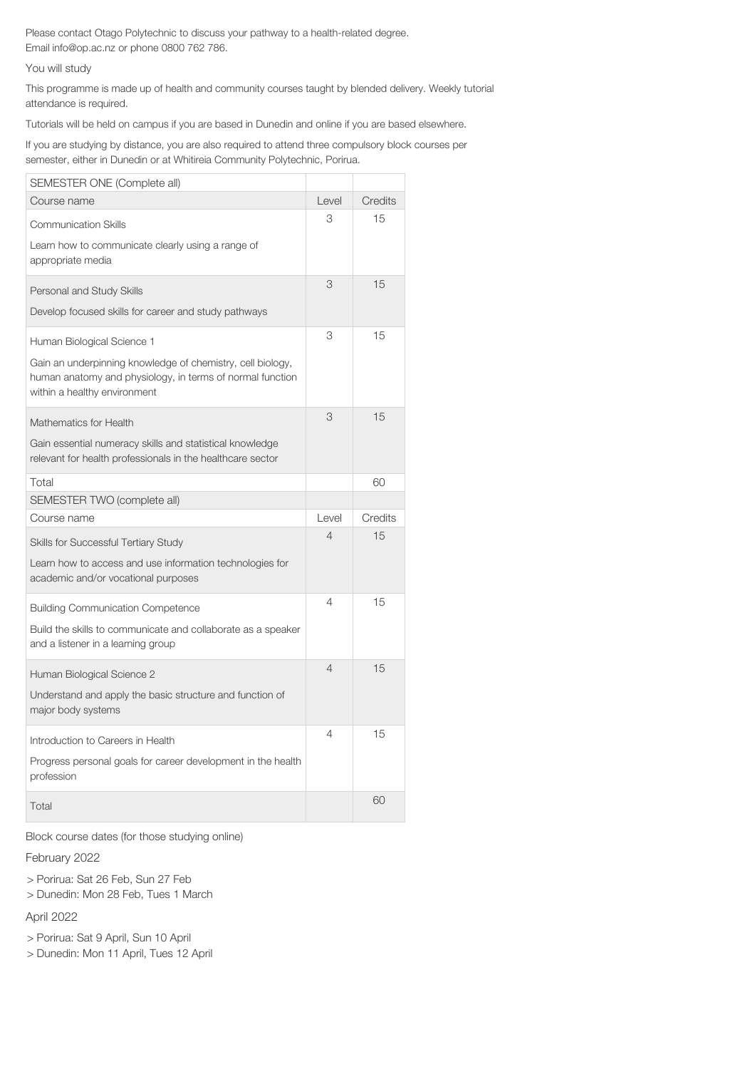Please contact Otago Polytechnic to discuss your pathway to a health-related degree. Email info@op.ac.nz or phone 0800 762 786.

You will study

This programme is made up of health and community courses taught by blended delivery. Weekly tutorial attendance is required.

Tutorials will be held on campus if you are based in Dunedin and online if you are based elsewhere.

If you are studying by distance, you are also required to attend three compulsory block courses per semester, either in Dunedin or at Whitireia Community Polytechnic, Porirua.

| SEMESTER ONE (Complete all)                                                                                                                                                           |                |         |
|---------------------------------------------------------------------------------------------------------------------------------------------------------------------------------------|----------------|---------|
| Course name                                                                                                                                                                           | Level          | Credits |
| <b>Communication Skills</b><br>Learn how to communicate clearly using a range of<br>appropriate media                                                                                 | 3              | 15      |
| Personal and Study Skills<br>Develop focused skills for career and study pathways                                                                                                     | 3              | 15      |
| Human Biological Science 1<br>Gain an underpinning knowledge of chemistry, cell biology,<br>human anatomy and physiology, in terms of normal function<br>within a healthy environment | 3              | 15      |
| Mathematics for Health<br>Gain essential numeracy skills and statistical knowledge<br>relevant for health professionals in the healthcare sector                                      | 3              | 15      |
| Total                                                                                                                                                                                 |                | 60      |
| SEMESTER TWO (complete all)                                                                                                                                                           |                |         |
| Course name                                                                                                                                                                           | Level          | Credits |
| <b>Skills for Successful Tertiary Study</b><br>Learn how to access and use information technologies for<br>academic and/or vocational purposes                                        | $\overline{4}$ | 15      |
| <b>Building Communication Competence</b><br>Build the skills to communicate and collaborate as a speaker<br>and a listener in a learning group                                        | 4              | 15      |
| Human Biological Science 2<br>Understand and apply the basic structure and function of<br>major body systems                                                                          | 4              | 15      |
| Introduction to Careers in Health<br>Progress personal goals for career development in the health<br>profession                                                                       | 4              | 15      |
| Total                                                                                                                                                                                 |                | 60      |

Block course dates (for those studying online)

February 2022

> Porirua: Sat 26 Feb, Sun 27 Feb

> Dunedin: Mon 28 Feb, Tues 1 March

April 2022

> Porirua: Sat 9 April, Sun 10 April

> Dunedin: Mon 11 April, Tues 12 April